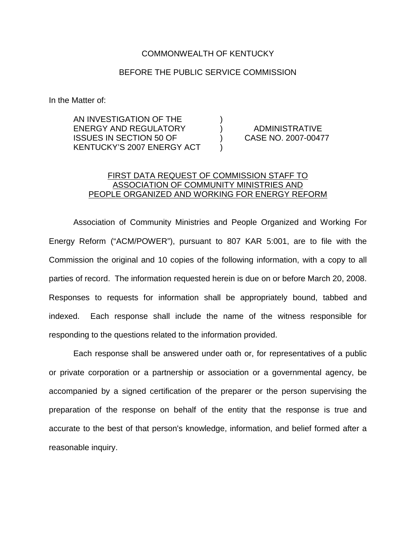## COMMONWEALTH OF KENTUCKY

## BEFORE THE PUBLIC SERVICE COMMISSION

In the Matter of:

AN INVESTIGATION OF THE ) ENERGY AND REGULATORY ) ADMINISTRATIVE ISSUES IN SECTION 50 OF ) CASE NO. 2007-00477 KENTUCKY'S 2007 ENERGY ACT )

## FIRST DATA REQUEST OF COMMISSION STAFF TO ASSOCIATION OF COMMUNITY MINISTRIES AND PEOPLE ORGANIZED AND WORKING FOR ENERGY REFORM

Association of Community Ministries and People Organized and Working For Energy Reform ("ACM/POWER"), pursuant to 807 KAR 5:001, are to file with the Commission the original and 10 copies of the following information, with a copy to all parties of record. The information requested herein is due on or before March 20, 2008. Responses to requests for information shall be appropriately bound, tabbed and indexed. Each response shall include the name of the witness responsible for responding to the questions related to the information provided.

Each response shall be answered under oath or, for representatives of a public or private corporation or a partnership or association or a governmental agency, be accompanied by a signed certification of the preparer or the person supervising the preparation of the response on behalf of the entity that the response is true and accurate to the best of that person's knowledge, information, and belief formed after a reasonable inquiry.